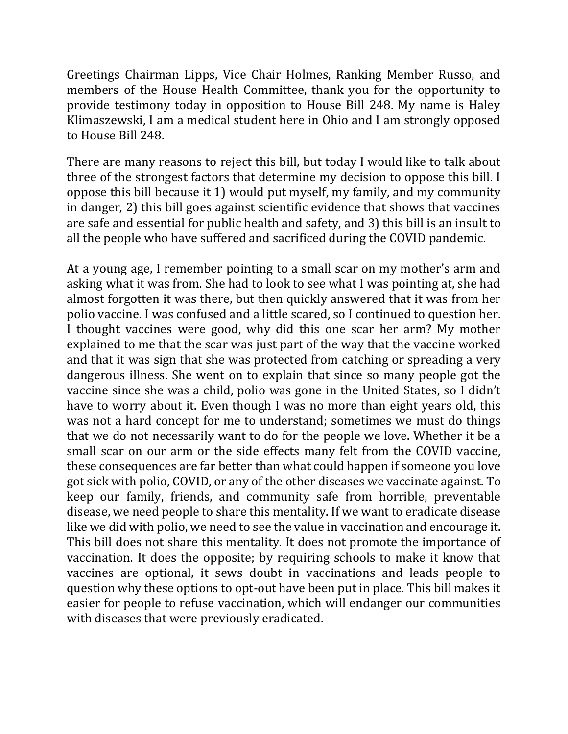Greetings Chairman Lipps, Vice Chair Holmes, Ranking Member Russo, and members of the House Health Committee, thank you for the opportunity to provide testimony today in opposition to House Bill 248. My name is Haley Klimaszewski, I am a medical student here in Ohio and I am strongly opposed to House Bill 248.

There are many reasons to reject this bill, but today I would like to talk about three of the strongest factors that determine my decision to oppose this bill. I oppose this bill because it 1) would put myself, my family, and my community in danger, 2) this bill goes against scientific evidence that shows that vaccines are safe and essential for public health and safety, and 3) this bill is an insult to all the people who have suffered and sacrificed during the COVID pandemic.

At a young age, I remember pointing to a small scar on my mother's arm and asking what it was from. She had to look to see what I was pointing at, she had almost forgotten it was there, but then quickly answered that it was from her polio vaccine. I was confused and a little scared, so I continued to question her. I thought vaccines were good, why did this one scar her arm? My mother explained to me that the scar was just part of the way that the vaccine worked and that it was sign that she was protected from catching or spreading a very dangerous illness. She went on to explain that since so many people got the vaccine since she was a child, polio was gone in the United States, so I didn't have to worry about it. Even though I was no more than eight years old, this was not a hard concept for me to understand; sometimes we must do things that we do not necessarily want to do for the people we love. Whether it be a small scar on our arm or the side effects many felt from the COVID vaccine, these consequences are far better than what could happen if someone you love got sick with polio, COVID, or any of the other diseases we vaccinate against. To keep our family, friends, and community safe from horrible, preventable disease, we need people to share this mentality. If we want to eradicate disease like we did with polio, we need to see the value in vaccination and encourage it. This bill does not share this mentality. It does not promote the importance of vaccination. It does the opposite; by requiring schools to make it know that vaccines are optional, it sews doubt in vaccinations and leads people to question why these options to opt-out have been put in place. This bill makes it easier for people to refuse vaccination, which will endanger our communities with diseases that were previously eradicated.